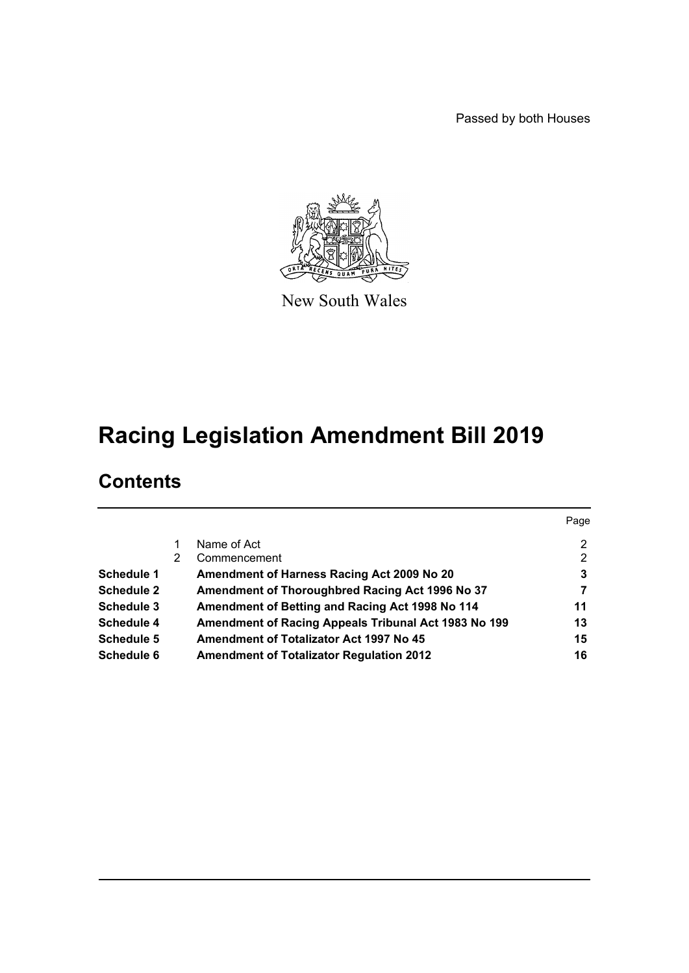Passed by both Houses



New South Wales

# **Racing Legislation Amendment Bill 2019**

# **Contents**

|                   |   |                                                      | Page |
|-------------------|---|------------------------------------------------------|------|
|                   |   | Name of Act                                          | 2    |
|                   | 2 | Commencement                                         | 2    |
| Schedule 1        |   | Amendment of Harness Racing Act 2009 No 20           | 3    |
| <b>Schedule 2</b> |   | Amendment of Thoroughbred Racing Act 1996 No 37      |      |
| <b>Schedule 3</b> |   | Amendment of Betting and Racing Act 1998 No 114      | 11   |
| Schedule 4        |   | Amendment of Racing Appeals Tribunal Act 1983 No 199 | 13   |
| Schedule 5        |   | <b>Amendment of Totalizator Act 1997 No 45</b>       | 15   |
| <b>Schedule 6</b> |   | <b>Amendment of Totalizator Regulation 2012</b>      | 16   |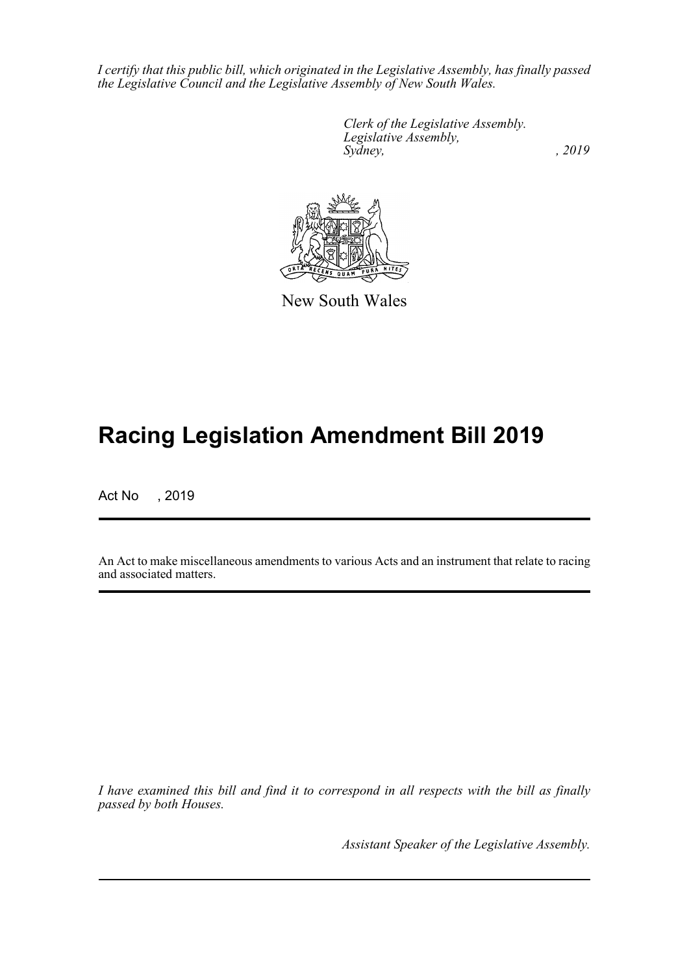*I certify that this public bill, which originated in the Legislative Assembly, has finally passed the Legislative Council and the Legislative Assembly of New South Wales.*

> *Clerk of the Legislative Assembly. Legislative Assembly, Sydney,* , 2019



New South Wales

# **Racing Legislation Amendment Bill 2019**

Act No , 2019

An Act to make miscellaneous amendments to various Acts and an instrument that relate to racing and associated matters.

*I have examined this bill and find it to correspond in all respects with the bill as finally passed by both Houses.*

*Assistant Speaker of the Legislative Assembly.*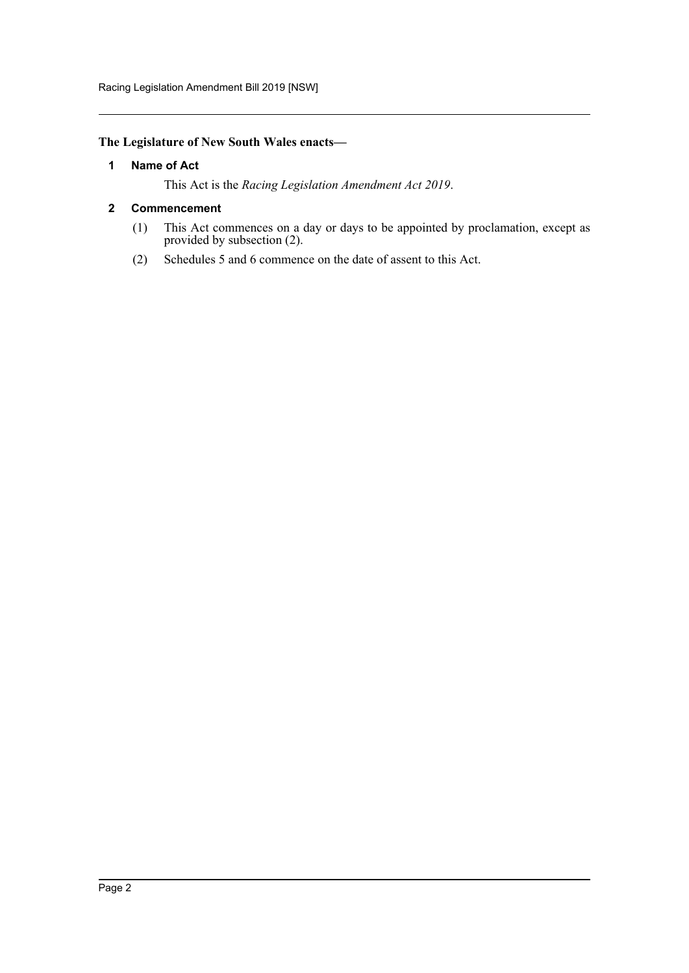## <span id="page-2-0"></span>**The Legislature of New South Wales enacts—**

#### **1 Name of Act**

This Act is the *Racing Legislation Amendment Act 2019*.

#### <span id="page-2-1"></span>**2 Commencement**

- (1) This Act commences on a day or days to be appointed by proclamation, except as provided by subsection (2).
- (2) Schedules 5 and 6 commence on the date of assent to this Act.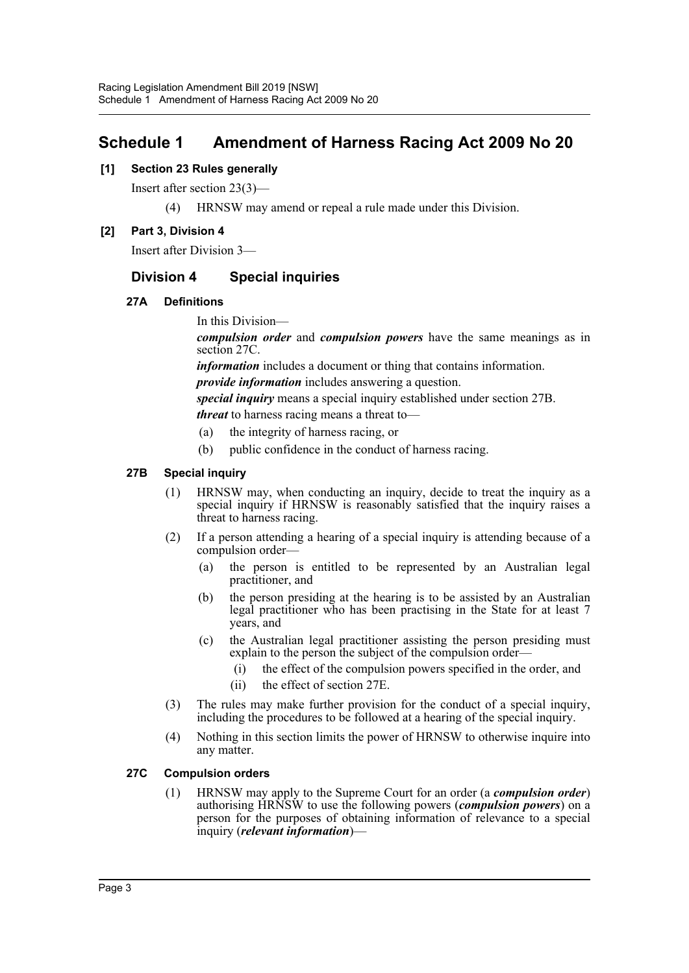# <span id="page-3-0"></span>**Schedule 1 Amendment of Harness Racing Act 2009 No 20**

## **[1] Section 23 Rules generally**

Insert after section 23(3)—

(4) HRNSW may amend or repeal a rule made under this Division.

## **[2] Part 3, Division 4**

Insert after Division 3—

# **Division 4 Special inquiries**

### **27A Definitions**

In this Division—

*compulsion order* and *compulsion powers* have the same meanings as in section 27C.

*information* includes a document or thing that contains information.

*provide information* includes answering a question.

*special inquiry* means a special inquiry established under section 27B. *threat* to harness racing means a threat to—

- (a) the integrity of harness racing, or
- (b) public confidence in the conduct of harness racing.

## **27B Special inquiry**

- (1) HRNSW may, when conducting an inquiry, decide to treat the inquiry as a special inquiry if HRNSW is reasonably satisfied that the inquiry raises a threat to harness racing.
- (2) If a person attending a hearing of a special inquiry is attending because of a compulsion order—
	- (a) the person is entitled to be represented by an Australian legal practitioner, and
	- (b) the person presiding at the hearing is to be assisted by an Australian legal practitioner who has been practising in the State for at least 7 years, and
	- (c) the Australian legal practitioner assisting the person presiding must explain to the person the subject of the compulsion order—
		- (i) the effect of the compulsion powers specified in the order, and
		- (ii) the effect of section 27E.
- (3) The rules may make further provision for the conduct of a special inquiry, including the procedures to be followed at a hearing of the special inquiry.
- (4) Nothing in this section limits the power of HRNSW to otherwise inquire into any matter.

### **27C Compulsion orders**

(1) HRNSW may apply to the Supreme Court for an order (a *compulsion order*) authorising HRNSW to use the following powers (*compulsion powers*) on a person for the purposes of obtaining information of relevance to a special inquiry (*relevant information*)—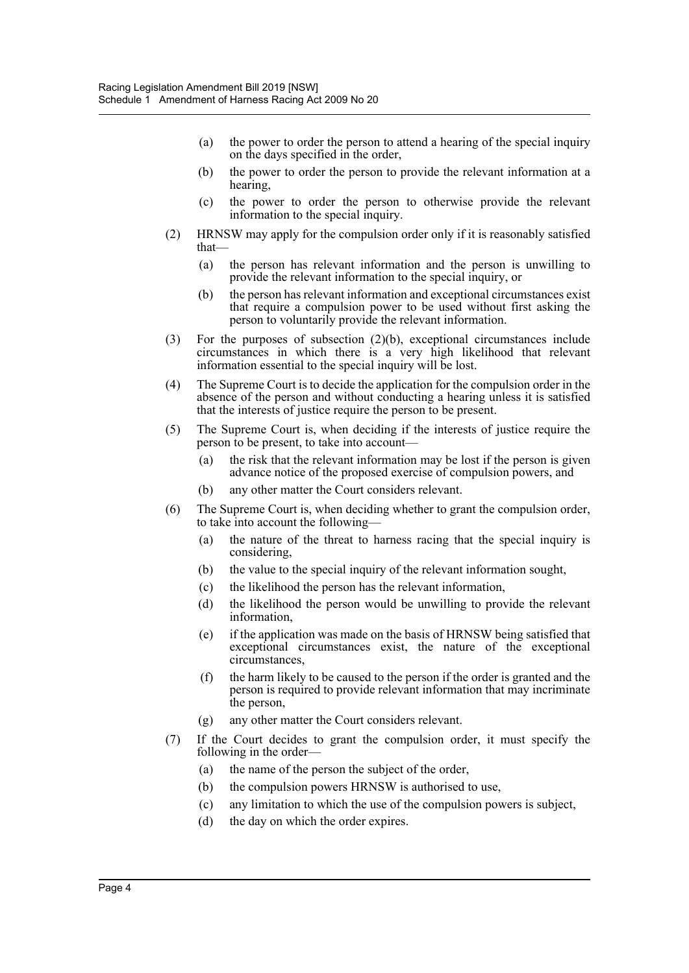- (a) the power to order the person to attend a hearing of the special inquiry on the days specified in the order,
- (b) the power to order the person to provide the relevant information at a hearing,
- (c) the power to order the person to otherwise provide the relevant information to the special inquiry.
- (2) HRNSW may apply for the compulsion order only if it is reasonably satisfied that—
	- (a) the person has relevant information and the person is unwilling to provide the relevant information to the special inquiry, or
	- (b) the person has relevant information and exceptional circumstances exist that require a compulsion power to be used without first asking the person to voluntarily provide the relevant information.
- (3) For the purposes of subsection (2)(b), exceptional circumstances include circumstances in which there is a very high likelihood that relevant information essential to the special inquiry will be lost.
- (4) The Supreme Court is to decide the application for the compulsion order in the absence of the person and without conducting a hearing unless it is satisfied that the interests of justice require the person to be present.
- (5) The Supreme Court is, when deciding if the interests of justice require the person to be present, to take into account—
	- (a) the risk that the relevant information may be lost if the person is given advance notice of the proposed exercise of compulsion powers, and
	- (b) any other matter the Court considers relevant.
- (6) The Supreme Court is, when deciding whether to grant the compulsion order, to take into account the following—
	- (a) the nature of the threat to harness racing that the special inquiry is considering,
	- (b) the value to the special inquiry of the relevant information sought,
	- (c) the likelihood the person has the relevant information,
	- (d) the likelihood the person would be unwilling to provide the relevant information,
	- (e) if the application was made on the basis of HRNSW being satisfied that exceptional circumstances exist, the nature of the exceptional circumstances,
	- (f) the harm likely to be caused to the person if the order is granted and the person is required to provide relevant information that may incriminate the person,
	- (g) any other matter the Court considers relevant.
- (7) If the Court decides to grant the compulsion order, it must specify the following in the order—
	- (a) the name of the person the subject of the order,
	- (b) the compulsion powers HRNSW is authorised to use,
	- (c) any limitation to which the use of the compulsion powers is subject,
	- (d) the day on which the order expires.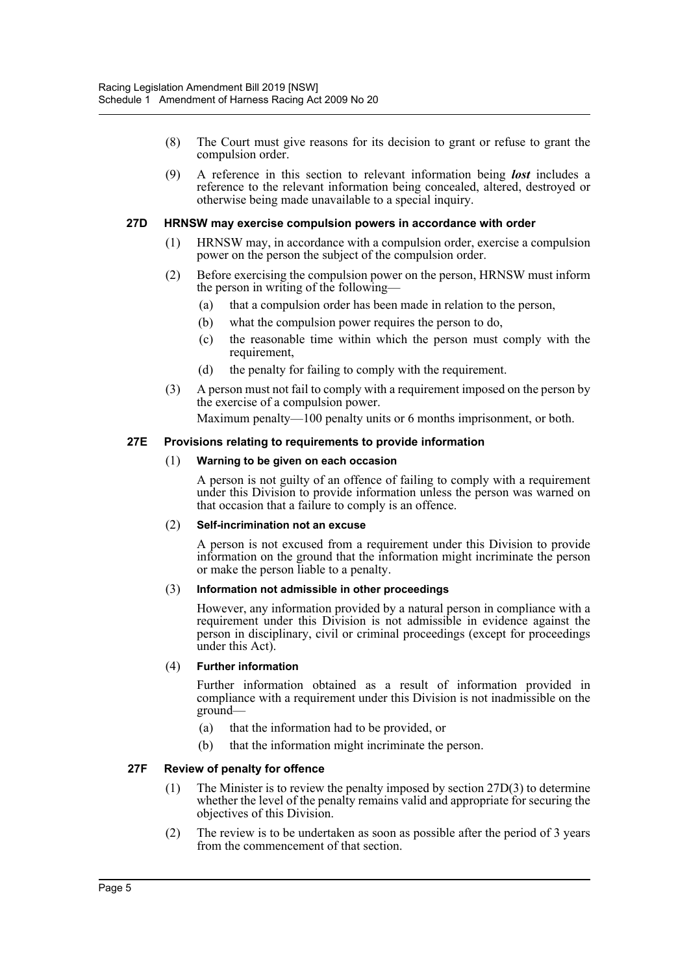- (8) The Court must give reasons for its decision to grant or refuse to grant the compulsion order.
- (9) A reference in this section to relevant information being *lost* includes a reference to the relevant information being concealed, altered, destroyed or otherwise being made unavailable to a special inquiry.

#### **27D HRNSW may exercise compulsion powers in accordance with order**

- (1) HRNSW may, in accordance with a compulsion order, exercise a compulsion power on the person the subject of the compulsion order.
- (2) Before exercising the compulsion power on the person, HRNSW must inform the person in writing of the following—
	- (a) that a compulsion order has been made in relation to the person,
	- (b) what the compulsion power requires the person to do,
	- (c) the reasonable time within which the person must comply with the requirement,
	- (d) the penalty for failing to comply with the requirement.
- (3) A person must not fail to comply with a requirement imposed on the person by the exercise of a compulsion power.

Maximum penalty—100 penalty units or 6 months imprisonment, or both.

#### **27E Provisions relating to requirements to provide information**

#### (1) **Warning to be given on each occasion**

A person is not guilty of an offence of failing to comply with a requirement under this Division to provide information unless the person was warned on that occasion that a failure to comply is an offence.

#### (2) **Self-incrimination not an excuse**

A person is not excused from a requirement under this Division to provide information on the ground that the information might incriminate the person or make the person liable to a penalty.

#### (3) **Information not admissible in other proceedings**

However, any information provided by a natural person in compliance with a requirement under this Division is not admissible in evidence against the person in disciplinary, civil or criminal proceedings (except for proceedings under this Act).

#### (4) **Further information**

Further information obtained as a result of information provided in compliance with a requirement under this Division is not inadmissible on the ground—

- (a) that the information had to be provided, or
- (b) that the information might incriminate the person.

#### **27F Review of penalty for offence**

- (1) The Minister is to review the penalty imposed by section 27D(3) to determine whether the level of the penalty remains valid and appropriate for securing the objectives of this Division.
- (2) The review is to be undertaken as soon as possible after the period of 3 years from the commencement of that section.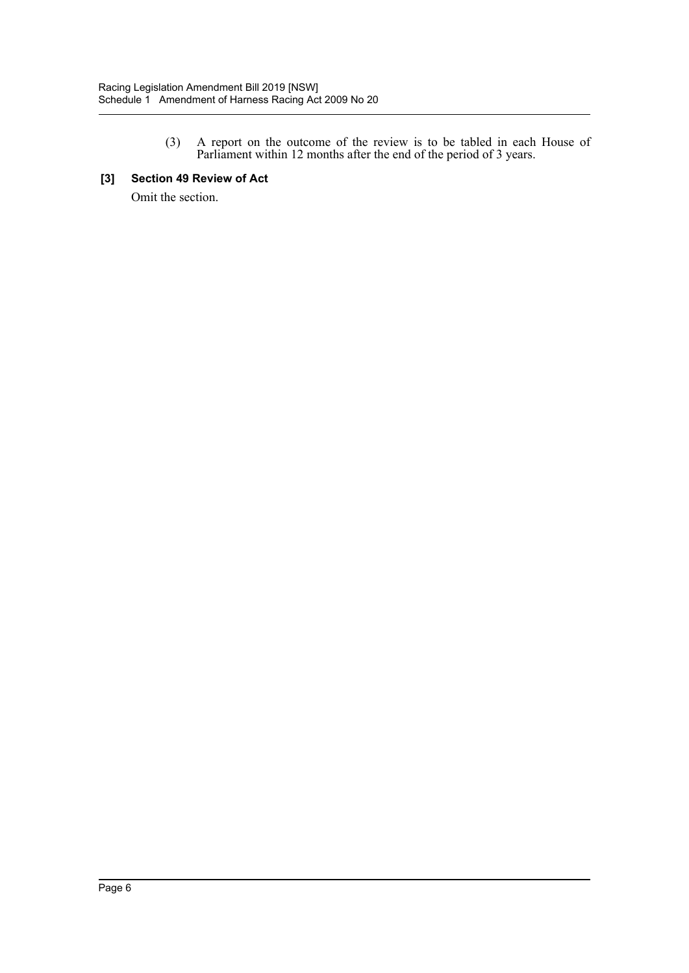(3) A report on the outcome of the review is to be tabled in each House of Parliament within 12 months after the end of the period of 3 years.

#### **[3] Section 49 Review of Act**

Omit the section.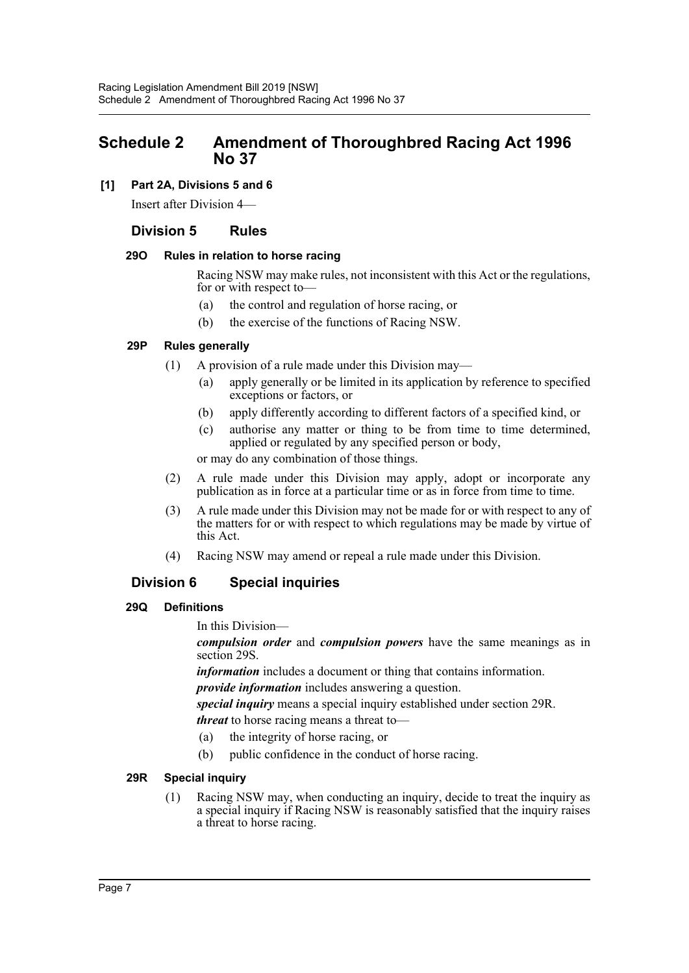# <span id="page-7-0"></span>**Schedule 2 Amendment of Thoroughbred Racing Act 1996 No 37**

## **[1] Part 2A, Divisions 5 and 6**

Insert after Division 4—

# **Division 5 Rules**

#### **29O Rules in relation to horse racing**

Racing NSW may make rules, not inconsistent with this Act or the regulations, for or with respect to—

- (a) the control and regulation of horse racing, or
- (b) the exercise of the functions of Racing NSW.

#### **29P Rules generally**

- (1) A provision of a rule made under this Division may—
	- (a) apply generally or be limited in its application by reference to specified exceptions or factors, or
	- (b) apply differently according to different factors of a specified kind, or
	- (c) authorise any matter or thing to be from time to time determined, applied or regulated by any specified person or body,

or may do any combination of those things.

- (2) A rule made under this Division may apply, adopt or incorporate any publication as in force at a particular time or as in force from time to time.
- (3) A rule made under this Division may not be made for or with respect to any of the matters for or with respect to which regulations may be made by virtue of this Act.
- (4) Racing NSW may amend or repeal a rule made under this Division.

# **Division 6 Special inquiries**

### **29Q Definitions**

In this Division—

*compulsion order* and *compulsion powers* have the same meanings as in section 29S.

*information* includes a document or thing that contains information.

*provide information* includes answering a question.

*special inquiry* means a special inquiry established under section 29R. *threat* to horse racing means a threat to—

- (a) the integrity of horse racing, or
- (b) public confidence in the conduct of horse racing.

### **29R Special inquiry**

(1) Racing NSW may, when conducting an inquiry, decide to treat the inquiry as a special inquiry if Racing NSW is reasonably satisfied that the inquiry raises a threat to horse racing.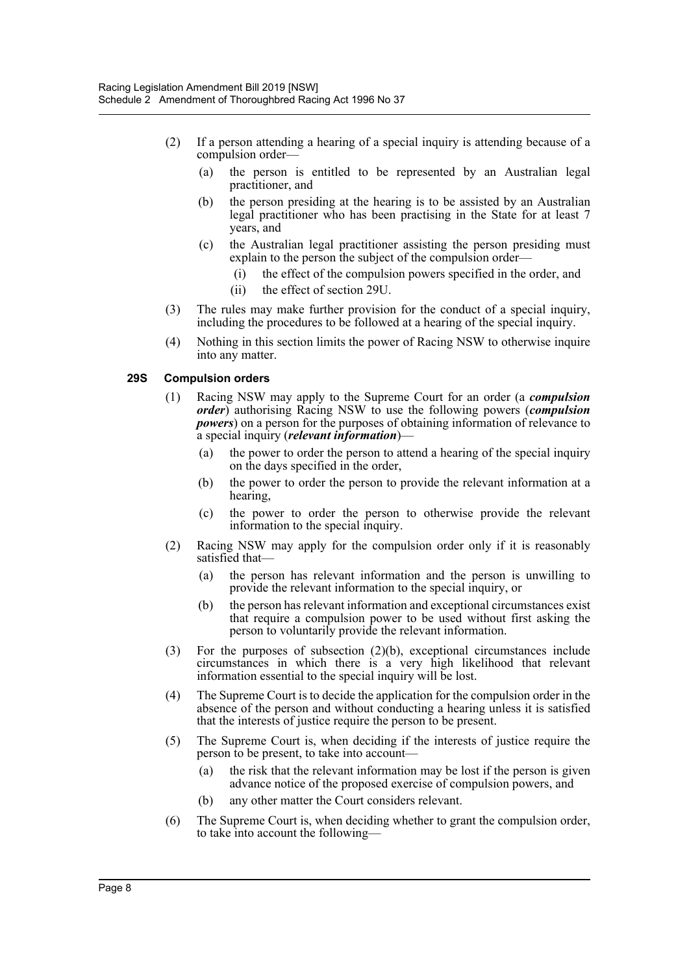- (2) If a person attending a hearing of a special inquiry is attending because of a compulsion order—
	- (a) the person is entitled to be represented by an Australian legal practitioner, and
	- (b) the person presiding at the hearing is to be assisted by an Australian legal practitioner who has been practising in the State for at least 7 years, and
	- (c) the Australian legal practitioner assisting the person presiding must explain to the person the subject of the compulsion order—
		- (i) the effect of the compulsion powers specified in the order, and
		- (ii) the effect of section 29U.
- (3) The rules may make further provision for the conduct of a special inquiry, including the procedures to be followed at a hearing of the special inquiry.
- (4) Nothing in this section limits the power of Racing NSW to otherwise inquire into any matter.

#### **29S Compulsion orders**

- (1) Racing NSW may apply to the Supreme Court for an order (a *compulsion order*) authorising Racing NSW to use the following powers (*compulsion powers*) on a person for the purposes of obtaining information of relevance to a special inquiry (*relevant information*)—
	- (a) the power to order the person to attend a hearing of the special inquiry on the days specified in the order,
	- (b) the power to order the person to provide the relevant information at a hearing,
	- (c) the power to order the person to otherwise provide the relevant information to the special inquiry.
- (2) Racing NSW may apply for the compulsion order only if it is reasonably satisfied that—
	- (a) the person has relevant information and the person is unwilling to provide the relevant information to the special inquiry, or
	- (b) the person has relevant information and exceptional circumstances exist that require a compulsion power to be used without first asking the person to voluntarily provide the relevant information.
- (3) For the purposes of subsection (2)(b), exceptional circumstances include circumstances in which there is a very high likelihood that relevant information essential to the special inquiry will be lost.
- (4) The Supreme Court is to decide the application for the compulsion order in the absence of the person and without conducting a hearing unless it is satisfied that the interests of justice require the person to be present.
- (5) The Supreme Court is, when deciding if the interests of justice require the person to be present, to take into account—
	- (a) the risk that the relevant information may be lost if the person is given advance notice of the proposed exercise of compulsion powers, and
	- (b) any other matter the Court considers relevant.
- (6) The Supreme Court is, when deciding whether to grant the compulsion order, to take into account the following—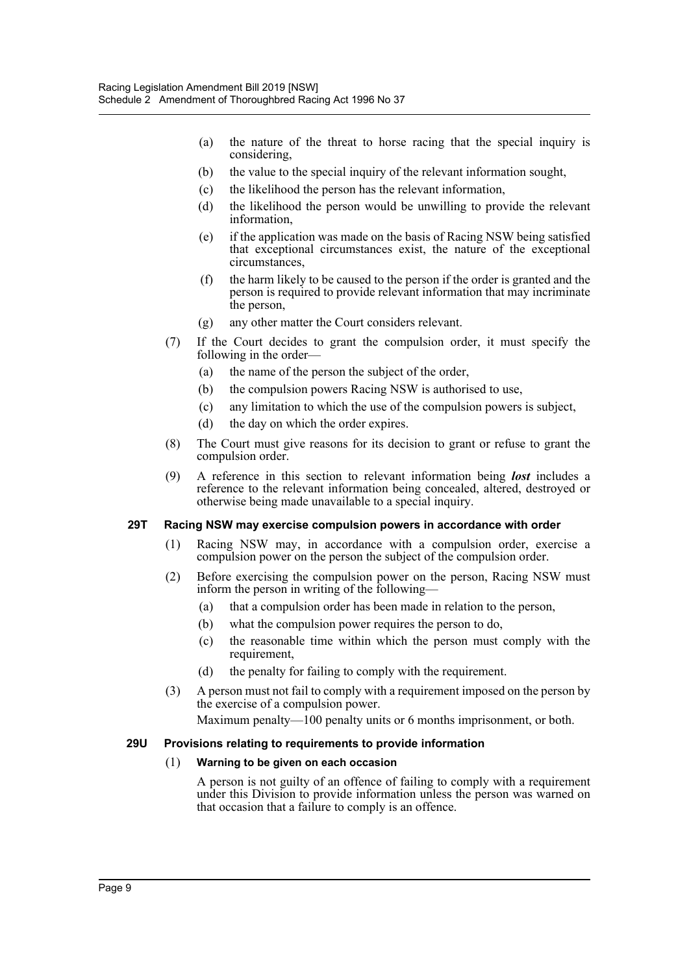- (a) the nature of the threat to horse racing that the special inquiry is considering,
- (b) the value to the special inquiry of the relevant information sought,
- (c) the likelihood the person has the relevant information,
- (d) the likelihood the person would be unwilling to provide the relevant information,
- (e) if the application was made on the basis of Racing NSW being satisfied that exceptional circumstances exist, the nature of the exceptional circumstances,
- (f) the harm likely to be caused to the person if the order is granted and the person is required to provide relevant information that may incriminate the person,
- (g) any other matter the Court considers relevant.
- (7) If the Court decides to grant the compulsion order, it must specify the following in the order—
	- (a) the name of the person the subject of the order,
	- (b) the compulsion powers Racing NSW is authorised to use,
	- (c) any limitation to which the use of the compulsion powers is subject,
	- (d) the day on which the order expires.
- (8) The Court must give reasons for its decision to grant or refuse to grant the compulsion order.
- (9) A reference in this section to relevant information being *lost* includes a reference to the relevant information being concealed, altered, destroyed or otherwise being made unavailable to a special inquiry.

#### **29T Racing NSW may exercise compulsion powers in accordance with order**

- (1) Racing NSW may, in accordance with a compulsion order, exercise a compulsion power on the person the subject of the compulsion order.
- (2) Before exercising the compulsion power on the person, Racing NSW must inform the person in writing of the following—
	- (a) that a compulsion order has been made in relation to the person,
	- (b) what the compulsion power requires the person to do,
	- (c) the reasonable time within which the person must comply with the requirement,
	- (d) the penalty for failing to comply with the requirement.
- (3) A person must not fail to comply with a requirement imposed on the person by the exercise of a compulsion power.

Maximum penalty—100 penalty units or 6 months imprisonment, or both.

#### **29U Provisions relating to requirements to provide information**

#### (1) **Warning to be given on each occasion**

A person is not guilty of an offence of failing to comply with a requirement under this Division to provide information unless the person was warned on that occasion that a failure to comply is an offence.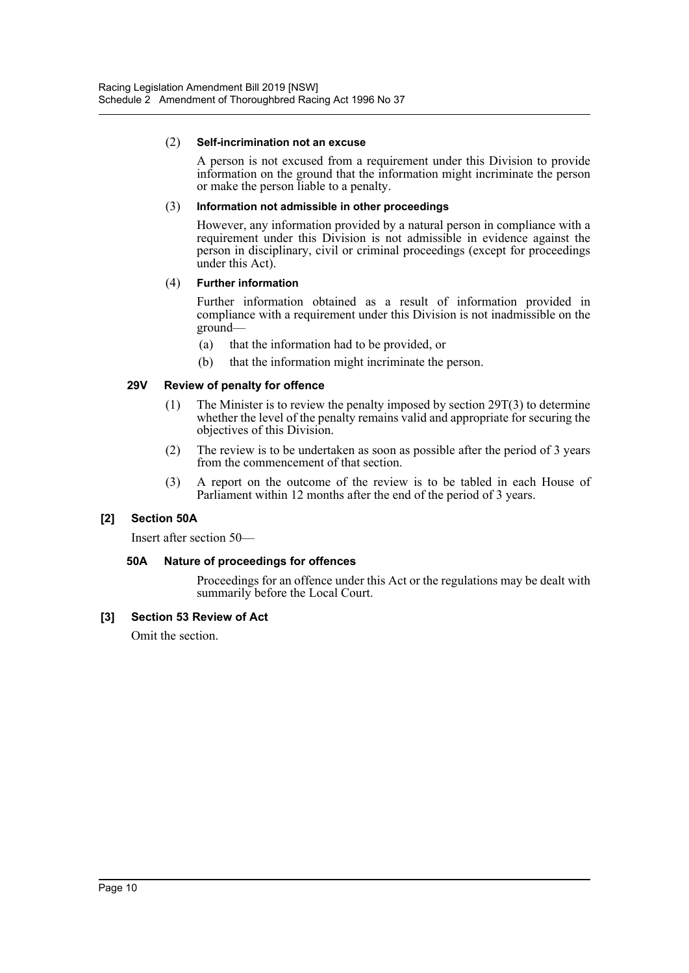#### (2) **Self-incrimination not an excuse**

A person is not excused from a requirement under this Division to provide information on the ground that the information might incriminate the person or make the person liable to a penalty.

#### (3) **Information not admissible in other proceedings**

However, any information provided by a natural person in compliance with a requirement under this Division is not admissible in evidence against the person in disciplinary, civil or criminal proceedings (except for proceedings under this Act).

#### (4) **Further information**

Further information obtained as a result of information provided in compliance with a requirement under this Division is not inadmissible on the ground—

- (a) that the information had to be provided, or
- (b) that the information might incriminate the person.

### **29V Review of penalty for offence**

- (1) The Minister is to review the penalty imposed by section  $29T(3)$  to determine whether the level of the penalty remains valid and appropriate for securing the objectives of this Division.
- (2) The review is to be undertaken as soon as possible after the period of 3 years from the commencement of that section.
- (3) A report on the outcome of the review is to be tabled in each House of Parliament within 12 months after the end of the period of 3 years.

### **[2] Section 50A**

Insert after section 50—

### **50A Nature of proceedings for offences**

Proceedings for an offence under this Act or the regulations may be dealt with summarily before the Local Court.

### **[3] Section 53 Review of Act**

Omit the section.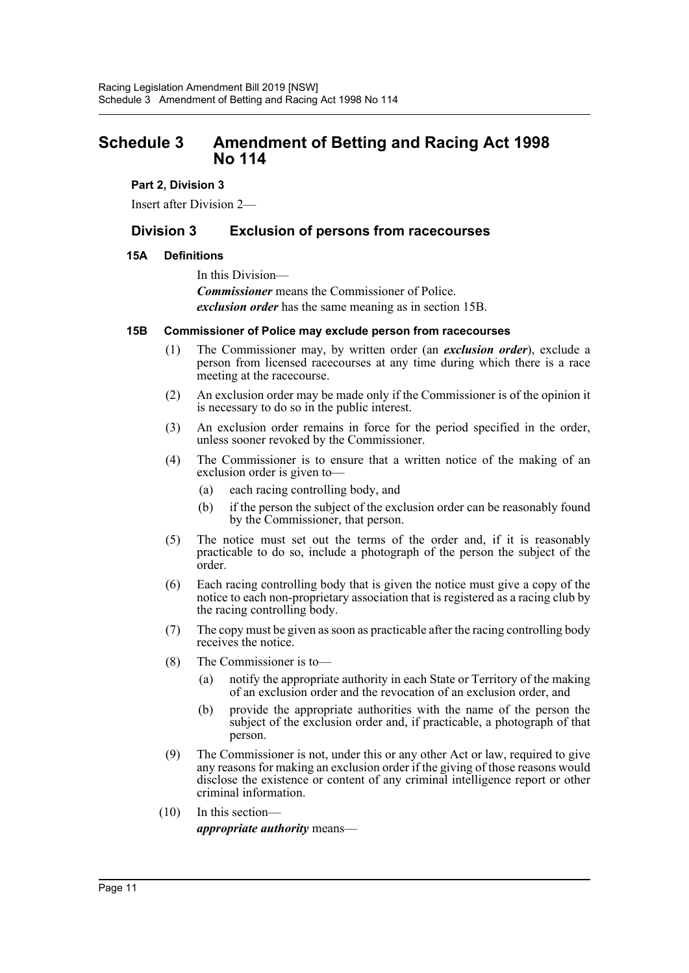# <span id="page-11-0"></span>**Schedule 3 Amendment of Betting and Racing Act 1998 No 114**

#### **Part 2, Division 3**

Insert after Division 2—

# **Division 3 Exclusion of persons from racecourses**

#### **15A Definitions**

In this Division— *Commissioner* means the Commissioner of Police. *exclusion order* has the same meaning as in section 15B.

#### **15B Commissioner of Police may exclude person from racecourses**

- (1) The Commissioner may, by written order (an *exclusion order*), exclude a person from licensed racecourses at any time during which there is a race meeting at the racecourse.
- (2) An exclusion order may be made only if the Commissioner is of the opinion it is necessary to do so in the public interest.
- (3) An exclusion order remains in force for the period specified in the order, unless sooner revoked by the Commissioner.
- (4) The Commissioner is to ensure that a written notice of the making of an exclusion order is given to—
	- (a) each racing controlling body, and
	- (b) if the person the subject of the exclusion order can be reasonably found by the Commissioner, that person.
- (5) The notice must set out the terms of the order and, if it is reasonably practicable to do so, include a photograph of the person the subject of the order.
- (6) Each racing controlling body that is given the notice must give a copy of the notice to each non-proprietary association that is registered as a racing club by the racing controlling body.
- (7) The copy must be given as soon as practicable after the racing controlling body receives the notice.
- (8) The Commissioner is to—
	- (a) notify the appropriate authority in each State or Territory of the making of an exclusion order and the revocation of an exclusion order, and
	- (b) provide the appropriate authorities with the name of the person the subject of the exclusion order and, if practicable, a photograph of that person.
- (9) The Commissioner is not, under this or any other Act or law, required to give any reasons for making an exclusion order if the giving of those reasons would disclose the existence or content of any criminal intelligence report or other criminal information.
- (10) In this section *appropriate authority* means—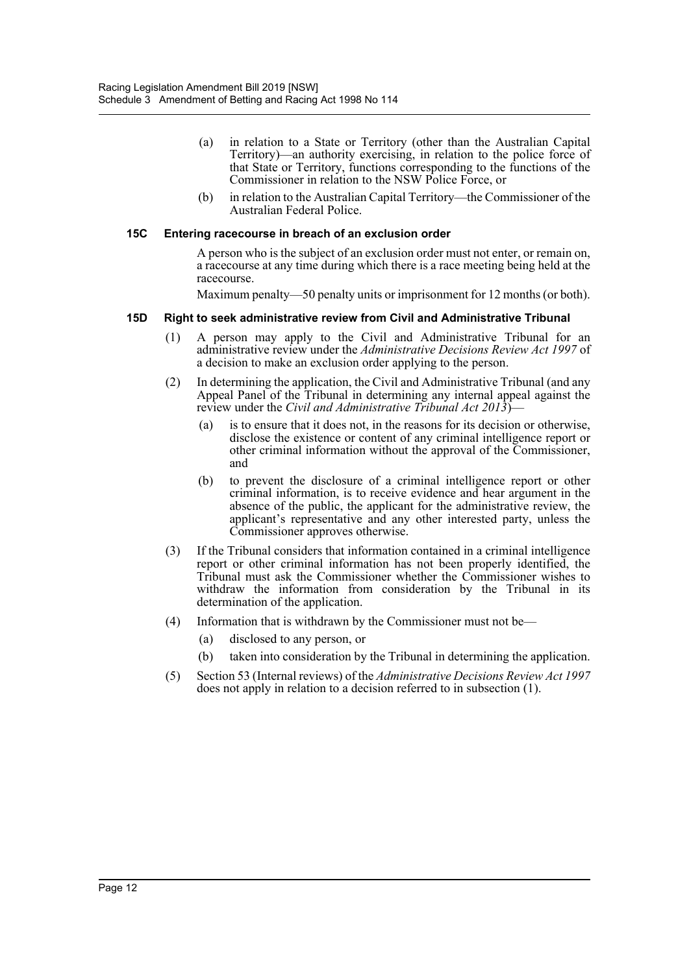- (a) in relation to a State or Territory (other than the Australian Capital Territory)—an authority exercising, in relation to the police force of that State or Territory, functions corresponding to the functions of the Commissioner in relation to the NSW Police Force, or
- (b) in relation to the Australian Capital Territory—the Commissioner of the Australian Federal Police.

#### **15C Entering racecourse in breach of an exclusion order**

A person who is the subject of an exclusion order must not enter, or remain on, a racecourse at any time during which there is a race meeting being held at the racecourse.

Maximum penalty—50 penalty units or imprisonment for 12 months (or both).

#### **15D Right to seek administrative review from Civil and Administrative Tribunal**

- (1) A person may apply to the Civil and Administrative Tribunal for an administrative review under the *Administrative Decisions Review Act 1997* of a decision to make an exclusion order applying to the person.
- (2) In determining the application, the Civil and Administrative Tribunal (and any Appeal Panel of the Tribunal in determining any internal appeal against the review under the *Civil and Administrative Tribunal Act 2013*)
	- is to ensure that it does not, in the reasons for its decision or otherwise. disclose the existence or content of any criminal intelligence report or other criminal information without the approval of the Commissioner, and
	- (b) to prevent the disclosure of a criminal intelligence report or other criminal information, is to receive evidence and hear argument in the absence of the public, the applicant for the administrative review, the applicant's representative and any other interested party, unless the Commissioner approves otherwise.
- (3) If the Tribunal considers that information contained in a criminal intelligence report or other criminal information has not been properly identified, the Tribunal must ask the Commissioner whether the Commissioner wishes to withdraw the information from consideration by the Tribunal in its determination of the application.
- (4) Information that is withdrawn by the Commissioner must not be—
	- (a) disclosed to any person, or
	- (b) taken into consideration by the Tribunal in determining the application.
- (5) Section 53 (Internal reviews) of the *Administrative Decisions Review Act 1997* does not apply in relation to a decision referred to in subsection (1).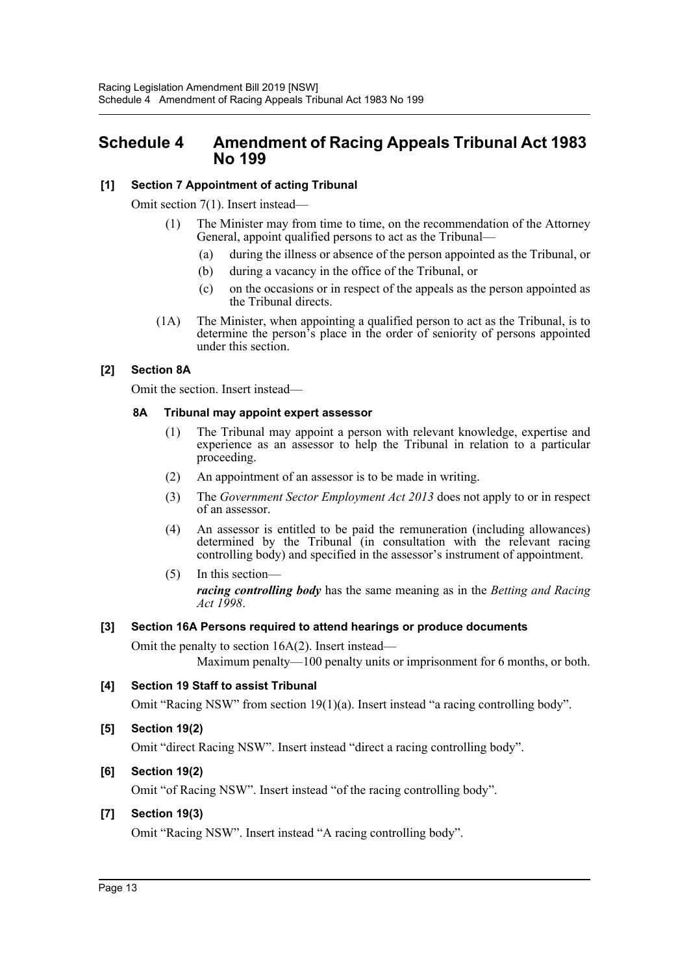# <span id="page-13-0"></span>**Schedule 4 Amendment of Racing Appeals Tribunal Act 1983 No 199**

## **[1] Section 7 Appointment of acting Tribunal**

Omit section 7(1). Insert instead—

- (1) The Minister may from time to time, on the recommendation of the Attorney General, appoint qualified persons to act as the Tribunal—
	- (a) during the illness or absence of the person appointed as the Tribunal, or
	- (b) during a vacancy in the office of the Tribunal, or
	- (c) on the occasions or in respect of the appeals as the person appointed as the Tribunal directs.
- (1A) The Minister, when appointing a qualified person to act as the Tribunal, is to determine the person's place in the order of seniority of persons appointed under this section.

### **[2] Section 8A**

Omit the section. Insert instead—

#### **8A Tribunal may appoint expert assessor**

- (1) The Tribunal may appoint a person with relevant knowledge, expertise and experience as an assessor to help the Tribunal in relation to a particular proceeding.
- (2) An appointment of an assessor is to be made in writing.
- (3) The *Government Sector Employment Act 2013* does not apply to or in respect of an assessor.
- (4) An assessor is entitled to be paid the remuneration (including allowances) determined by the Tribunal (in consultation with the relevant racing controlling body) and specified in the assessor's instrument of appointment.
- (5) In this section *racing controlling body* has the same meaning as in the *Betting and Racing Act 1998*.

### **[3] Section 16A Persons required to attend hearings or produce documents**

Omit the penalty to section 16A(2). Insert instead—

Maximum penalty—100 penalty units or imprisonment for 6 months, or both.

### **[4] Section 19 Staff to assist Tribunal**

Omit "Racing NSW" from section 19(1)(a). Insert instead "a racing controlling body".

### **[5] Section 19(2)**

Omit "direct Racing NSW". Insert instead "direct a racing controlling body".

### **[6] Section 19(2)**

Omit "of Racing NSW". Insert instead "of the racing controlling body".

### **[7] Section 19(3)**

Omit "Racing NSW". Insert instead "A racing controlling body".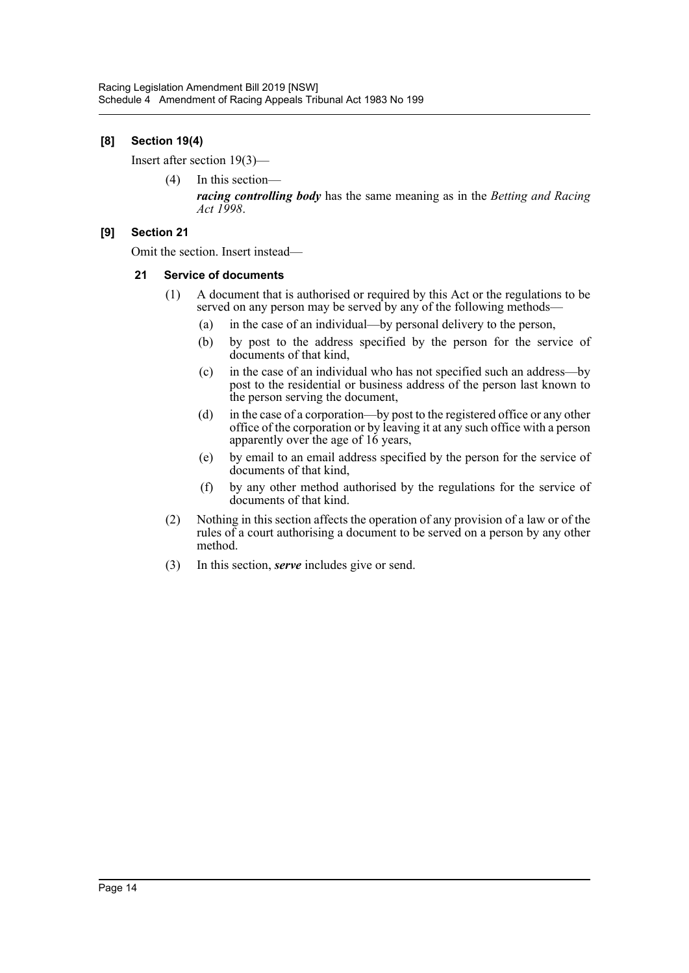## **[8] Section 19(4)**

Insert after section 19(3)—

(4) In this section *racing controlling body* has the same meaning as in the *Betting and Racing Act 1998*.

#### **[9] Section 21**

Omit the section. Insert instead—

#### **21 Service of documents**

- (1) A document that is authorised or required by this Act or the regulations to be served on any person may be served by any of the following methods—
	- (a) in the case of an individual—by personal delivery to the person,
	- (b) by post to the address specified by the person for the service of documents of that kind,
	- (c) in the case of an individual who has not specified such an address—by post to the residential or business address of the person last known to the person serving the document,
	- (d) in the case of a corporation—by post to the registered office or any other office of the corporation or by leaving it at any such office with a person apparently over the age of 16 years,
	- (e) by email to an email address specified by the person for the service of documents of that kind,
	- (f) by any other method authorised by the regulations for the service of documents of that kind.
- (2) Nothing in this section affects the operation of any provision of a law or of the rules of a court authorising a document to be served on a person by any other method.
- (3) In this section, *serve* includes give or send.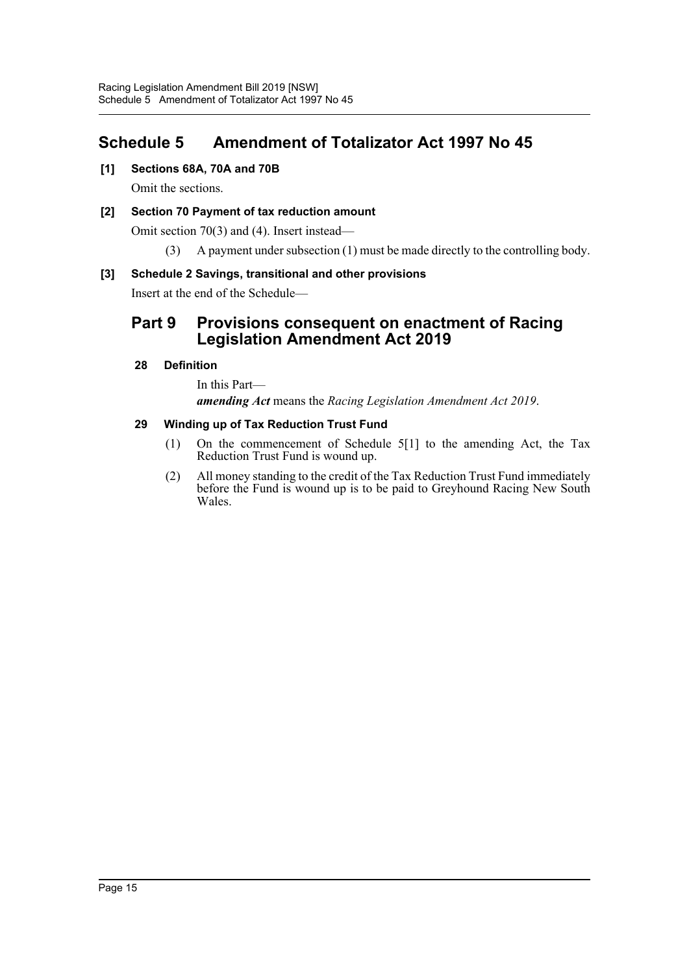# <span id="page-15-0"></span>**Schedule 5 Amendment of Totalizator Act 1997 No 45**

**[1] Sections 68A, 70A and 70B**

Omit the sections.

## **[2] Section 70 Payment of tax reduction amount**

Omit section 70(3) and (4). Insert instead—

(3) A payment under subsection (1) must be made directly to the controlling body.

### **[3] Schedule 2 Savings, transitional and other provisions**

Insert at the end of the Schedule—

# **Part 9 Provisions consequent on enactment of Racing Legislation Amendment Act 2019**

#### **28 Definition**

In this Part *amending Act* means the *Racing Legislation Amendment Act 2019*.

#### **29 Winding up of Tax Reduction Trust Fund**

- (1) On the commencement of Schedule 5[1] to the amending Act, the Tax Reduction Trust Fund is wound up.
- (2) All money standing to the credit of the Tax Reduction Trust Fund immediately before the Fund is wound up is to be paid to Greyhound Racing New South Wales.